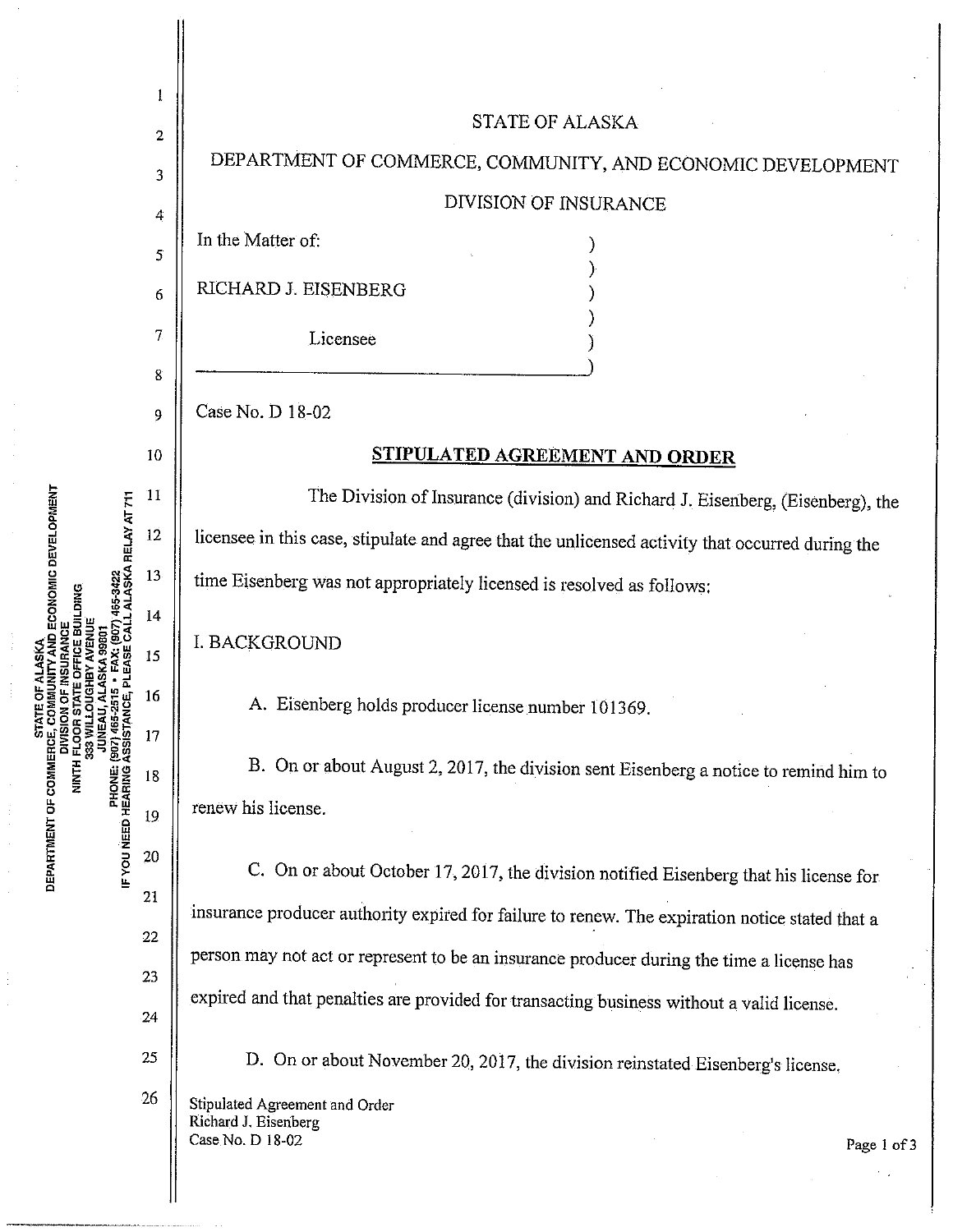

ECONOMIC DEVELOPMENT (907) 465-2515<br>Assistance DEPARTMENT OF COMMERO **HININ PHONE:**<br>PHONE:<br>PHONE: